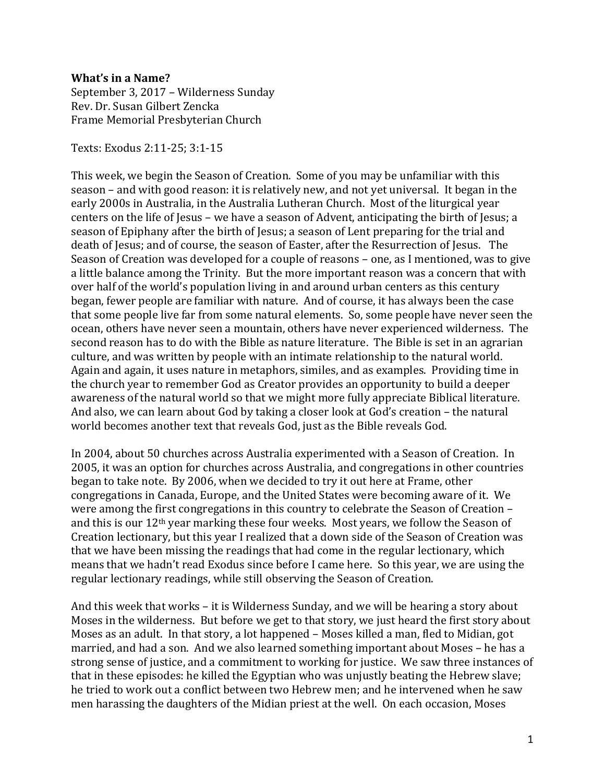## **What's in a Name?**

September 3, 2017 – Wilderness Sunday Rev. Dr. Susan Gilbert Zencka Frame Memorial Presbyterian Church

Texts: Exodus 2:11-25; 3:1-15

This week, we begin the Season of Creation. Some of you may be unfamiliar with this season – and with good reason: it is relatively new, and not yet universal. It began in the early 2000s in Australia, in the Australia Lutheran Church. Most of the liturgical year centers on the life of Jesus – we have a season of Advent, anticipating the birth of Jesus; a season of Epiphany after the birth of Jesus; a season of Lent preparing for the trial and death of Jesus; and of course, the season of Easter, after the Resurrection of Jesus. The Season of Creation was developed for a couple of reasons – one, as I mentioned, was to give a little balance among the Trinity. But the more important reason was a concern that with over half of the world's population living in and around urban centers as this century began, fewer people are familiar with nature. And of course, it has always been the case that some people live far from some natural elements. So, some people have never seen the ocean, others have never seen a mountain, others have never experienced wilderness. The second reason has to do with the Bible as nature literature. The Bible is set in an agrarian culture, and was written by people with an intimate relationship to the natural world. Again and again, it uses nature in metaphors, similes, and as examples. Providing time in the church year to remember God as Creator provides an opportunity to build a deeper awareness of the natural world so that we might more fully appreciate Biblical literature. And also, we can learn about God by taking a closer look at God's creation – the natural world becomes another text that reveals God, just as the Bible reveals God.

In 2004, about 50 churches across Australia experimented with a Season of Creation. In 2005, it was an option for churches across Australia, and congregations in other countries began to take note. By 2006, when we decided to try it out here at Frame, other congregations in Canada, Europe, and the United States were becoming aware of it. We were among the first congregations in this country to celebrate the Season of Creation – and this is our  $12<sup>th</sup>$  year marking these four weeks. Most years, we follow the Season of Creation lectionary, but this year I realized that a down side of the Season of Creation was that we have been missing the readings that had come in the regular lectionary, which means that we hadn't read Exodus since before I came here. So this year, we are using the regular lectionary readings, while still observing the Season of Creation.

And this week that works – it is Wilderness Sunday, and we will be hearing a story about Moses in the wilderness. But before we get to that story, we just heard the first story about Moses as an adult. In that story, a lot happened – Moses killed a man, fled to Midian, got married, and had a son. And we also learned something important about Moses – he has a strong sense of justice, and a commitment to working for justice. We saw three instances of that in these episodes: he killed the Egyptian who was unjustly beating the Hebrew slave; he tried to work out a conflict between two Hebrew men; and he intervened when he saw men harassing the daughters of the Midian priest at the well. On each occasion, Moses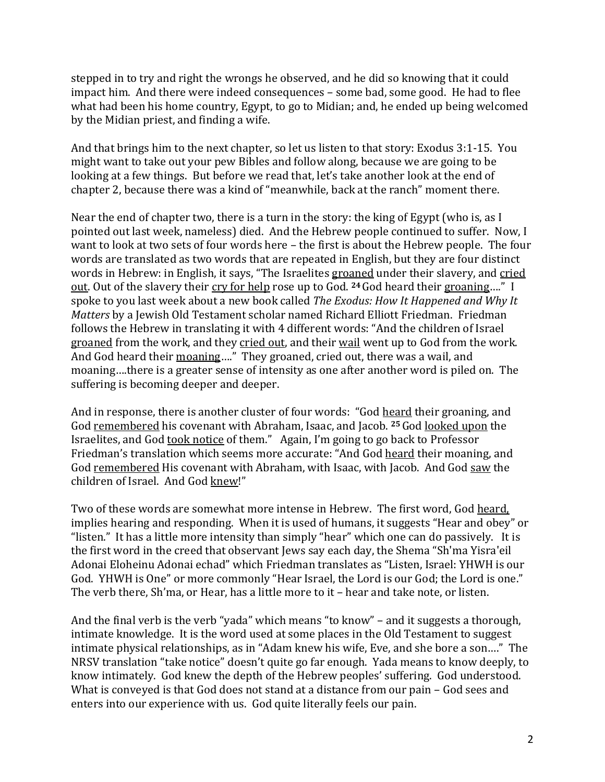stepped in to try and right the wrongs he observed, and he did so knowing that it could impact him. And there were indeed consequences – some bad, some good. He had to flee what had been his home country, Egypt, to go to Midian; and, he ended up being welcomed by the Midian priest, and finding a wife.

And that brings him to the next chapter, so let us listen to that story: Exodus 3:1-15. You might want to take out your pew Bibles and follow along, because we are going to be looking at a few things. But before we read that, let's take another look at the end of chapter 2, because there was a kind of "meanwhile, back at the ranch" moment there.

Near the end of chapter two, there is a turn in the story: the king of Egypt (who is, as I pointed out last week, nameless) died. And the Hebrew people continued to suffer. Now, I want to look at two sets of four words here – the first is about the Hebrew people. The four words are translated as two words that are repeated in English, but they are four distinct words in Hebrew: in English, it says, "The Israelites groaned under their slavery, and cried out. Out of the slavery their cry for help rose up to God. **<sup>24</sup>**God heard their groaning…." I spoke to you last week about a new book called *The Exodus: How It Happened and Why It Matters* by a Jewish Old Testament scholar named Richard Elliott Friedman. Friedman follows the Hebrew in translating it with 4 different words: "And the children of Israel groaned from the work, and they cried out, and their wail went up to God from the work. And God heard their moaning…." They groaned, cried out, there was a wail, and moaning….there is a greater sense of intensity as one after another word is piled on. The suffering is becoming deeper and deeper.

And in response, there is another cluster of four words: "God heard their groaning, and God remembered his covenant with Abraham, Isaac, and Jacob. **<sup>25</sup>** God looked upon the Israelites, and God took notice of them." Again, I'm going to go back to Professor Friedman's translation which seems more accurate: "And God heard their moaning, and God remembered His covenant with Abraham, with Isaac, with Jacob. And God saw the children of Israel. And God knew!"

Two of these words are somewhat more intense in Hebrew. The first word, God heard, implies hearing and responding. When it is used of humans, it suggests "Hear and obey" or "listen." It has a little more intensity than simply "hear" which one can do passively. It is the first word in the creed that observant Jews say each day, the Shema "Sh'ma Yisra'eil Adonai Eloheinu Adonai echad" which Friedman translates as "Listen, Israel: YHWH is our God. YHWH is One" or more commonly "Hear Israel, the Lord is our God; the Lord is one." The verb there, Sh'ma, or Hear, has a little more to it – hear and take note, or listen.

And the final verb is the verb "yada" which means "to know" – and it suggests a thorough, intimate knowledge. It is the word used at some places in the Old Testament to suggest intimate physical relationships, as in "Adam knew his wife, Eve, and she bore a son…." The NRSV translation "take notice" doesn't quite go far enough. Yada means to know deeply, to know intimately. God knew the depth of the Hebrew peoples' suffering. God understood. What is conveyed is that God does not stand at a distance from our pain – God sees and enters into our experience with us. God quite literally feels our pain.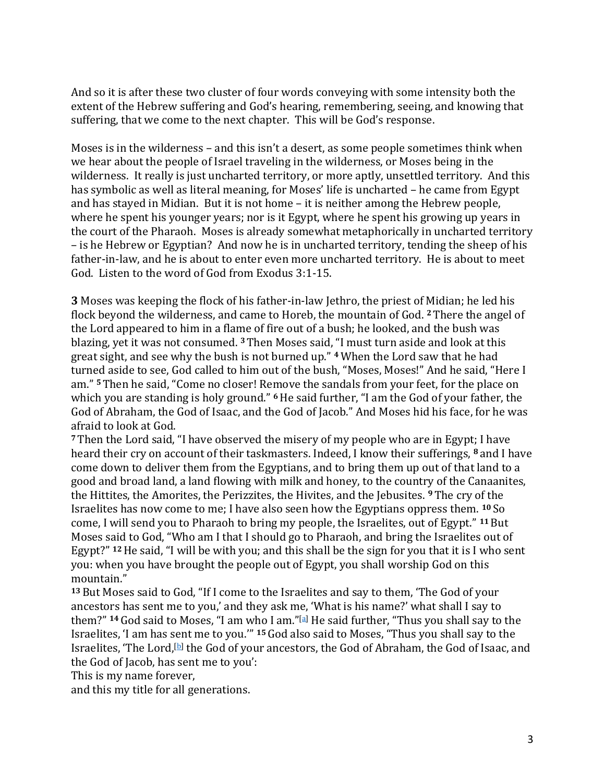And so it is after these two cluster of four words conveying with some intensity both the extent of the Hebrew suffering and God's hearing, remembering, seeing, and knowing that suffering, that we come to the next chapter. This will be God's response.

Moses is in the wilderness – and this isn't a desert, as some people sometimes think when we hear about the people of Israel traveling in the wilderness, or Moses being in the wilderness. It really is just uncharted territory, or more aptly, unsettled territory. And this has symbolic as well as literal meaning, for Moses' life is uncharted – he came from Egypt and has stayed in Midian. But it is not home – it is neither among the Hebrew people, where he spent his younger years; nor is it Egypt, where he spent his growing up years in the court of the Pharaoh. Moses is already somewhat metaphorically in uncharted territory – is he Hebrew or Egyptian? And now he is in uncharted territory, tending the sheep of his father-in-law, and he is about to enter even more uncharted territory. He is about to meet God. Listen to the word of God from Exodus 3:1-15.

**3** Moses was keeping the flock of his father-in-law Jethro, the priest of Midian; he led his flock beyond the wilderness, and came to Horeb, the mountain of God. **<sup>2</sup>** There the angel of the Lord appeared to him in a flame of fire out of a bush; he looked, and the bush was blazing, yet it was not consumed. **<sup>3</sup>** Then Moses said, "I must turn aside and look at this great sight, and see why the bush is not burned up." **<sup>4</sup>**When the Lord saw that he had turned aside to see, God called to him out of the bush, "Moses, Moses!" And he said, "Here I am." **<sup>5</sup>**Then he said, "Come no closer! Remove the sandals from your feet, for the place on which you are standing is holy ground." **<sup>6</sup>**He said further, "I am the God of your father, the God of Abraham, the God of Isaac, and the God of Jacob." And Moses hid his face, for he was afraid to look at God.

**<sup>7</sup>** Then the Lord said, "I have observed the misery of my people who are in Egypt; I have heard their cry on account of their taskmasters. Indeed, I know their sufferings, **<sup>8</sup>** and I have come down to deliver them from the Egyptians, and to bring them up out of that land to a good and broad land, a land flowing with milk and honey, to the country of the Canaanites, the Hittites, the Amorites, the Perizzites, the Hivites, and the Jebusites. **<sup>9</sup>** The cry of the Israelites has now come to me; I have also seen how the Egyptians oppress them. **<sup>10</sup>** So come, I will send you to Pharaoh to bring my people, the Israelites, out of Egypt." **<sup>11</sup>** But Moses said to God, "Who am I that I should go to Pharaoh, and bring the Israelites out of Egypt?" **<sup>12</sup>**He said, "I will be with you; and this shall be the sign for you that it is I who sent you: when you have brought the people out of Egypt, you shall worship God on this mountain."

**<sup>13</sup>** But Moses said to God, "If I come to the Israelites and say to them, 'The God of your ancestors has sent me to you,' and they ask me, 'What is his name?' what shall I say to them?" **<sup>14</sup>**God said to Moses, "I am who I am."[\[a\]](https://www.biblegateway.com/passage/?search=Exodus+3&version=NRSV#fen-NRSV-1594a) He said further, "Thus you shall say to the Israelites, 'I am has sent me to you.'" **<sup>15</sup>** God also said to Moses, "Thus you shall say to the Israelites, 'The Lord, $[b]$  the God of your ancestors, the God of Abraham, the God of Isaac, and the God of Jacob, has sent me to you':

This is my name forever,

and this my title for all generations.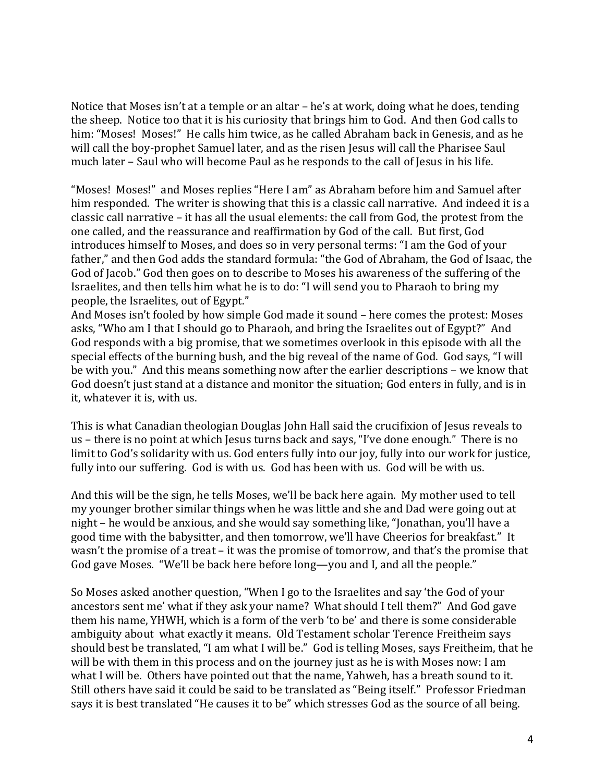Notice that Moses isn't at a temple or an altar – he's at work, doing what he does, tending the sheep. Notice too that it is his curiosity that brings him to God. And then God calls to him: "Moses! Moses!" He calls him twice, as he called Abraham back in Genesis, and as he will call the boy-prophet Samuel later, and as the risen Jesus will call the Pharisee Saul much later – Saul who will become Paul as he responds to the call of Jesus in his life.

"Moses! Moses!" and Moses replies "Here I am" as Abraham before him and Samuel after him responded. The writer is showing that this is a classic call narrative. And indeed it is a classic call narrative – it has all the usual elements: the call from God, the protest from the one called, and the reassurance and reaffirmation by God of the call. But first, God introduces himself to Moses, and does so in very personal terms: "I am the God of your father," and then God adds the standard formula: "the God of Abraham, the God of Isaac, the God of Jacob." God then goes on to describe to Moses his awareness of the suffering of the Israelites, and then tells him what he is to do: "I will send you to Pharaoh to bring my people, the Israelites, out of Egypt."

And Moses isn't fooled by how simple God made it sound – here comes the protest: Moses asks, "Who am I that I should go to Pharaoh, and bring the Israelites out of Egypt?" And God responds with a big promise, that we sometimes overlook in this episode with all the special effects of the burning bush, and the big reveal of the name of God. God says, "I will be with you." And this means something now after the earlier descriptions – we know that God doesn't just stand at a distance and monitor the situation; God enters in fully, and is in it, whatever it is, with us.

This is what Canadian theologian Douglas John Hall said the crucifixion of Jesus reveals to us – there is no point at which Jesus turns back and says, "I've done enough." There is no limit to God's solidarity with us. God enters fully into our joy, fully into our work for justice, fully into our suffering. God is with us. God has been with us. God will be with us.

And this will be the sign, he tells Moses, we'll be back here again. My mother used to tell my younger brother similar things when he was little and she and Dad were going out at night – he would be anxious, and she would say something like, "Jonathan, you'll have a good time with the babysitter, and then tomorrow, we'll have Cheerios for breakfast." It wasn't the promise of a treat – it was the promise of tomorrow, and that's the promise that God gave Moses. "We'll be back here before long—you and I, and all the people."

So Moses asked another question, "When I go to the Israelites and say 'the God of your ancestors sent me' what if they ask your name? What should I tell them?" And God gave them his name, YHWH, which is a form of the verb 'to be' and there is some considerable ambiguity about what exactly it means. Old Testament scholar Terence Freitheim says should best be translated, "I am what I will be." God is telling Moses, says Freitheim, that he will be with them in this process and on the journey just as he is with Moses now: I am what I will be. Others have pointed out that the name, Yahweh, has a breath sound to it. Still others have said it could be said to be translated as "Being itself." Professor Friedman says it is best translated "He causes it to be" which stresses God as the source of all being.